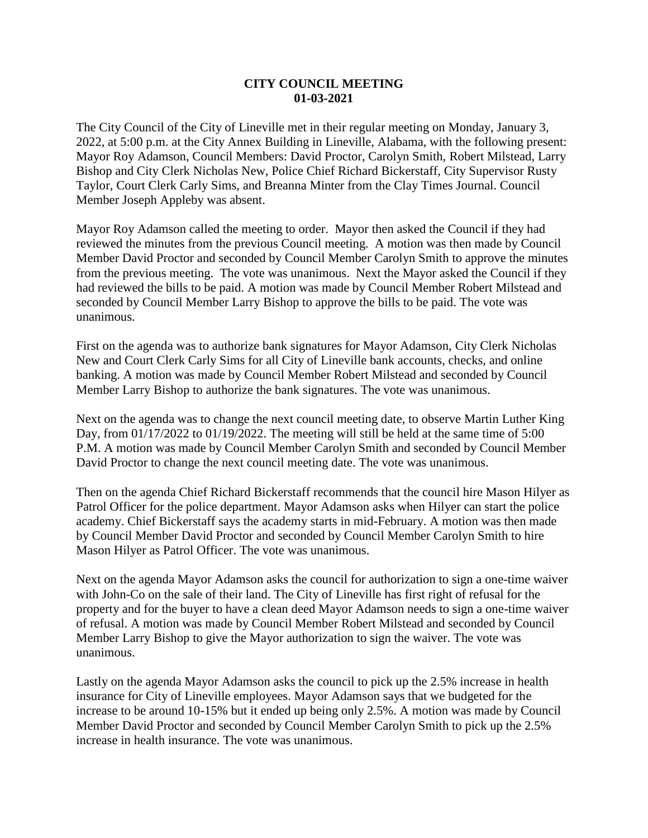## **CITY COUNCIL MEETING 01-03-2021**

The City Council of the City of Lineville met in their regular meeting on Monday, January 3, 2022, at 5:00 p.m. at the City Annex Building in Lineville, Alabama, with the following present: Mayor Roy Adamson, Council Members: David Proctor, Carolyn Smith, Robert Milstead, Larry Bishop and City Clerk Nicholas New, Police Chief Richard Bickerstaff, City Supervisor Rusty Taylor, Court Clerk Carly Sims, and Breanna Minter from the Clay Times Journal. Council Member Joseph Appleby was absent.

Mayor Roy Adamson called the meeting to order. Mayor then asked the Council if they had reviewed the minutes from the previous Council meeting. A motion was then made by Council Member David Proctor and seconded by Council Member Carolyn Smith to approve the minutes from the previous meeting. The vote was unanimous. Next the Mayor asked the Council if they had reviewed the bills to be paid. A motion was made by Council Member Robert Milstead and seconded by Council Member Larry Bishop to approve the bills to be paid. The vote was unanimous.

First on the agenda was to authorize bank signatures for Mayor Adamson, City Clerk Nicholas New and Court Clerk Carly Sims for all City of Lineville bank accounts, checks, and online banking. A motion was made by Council Member Robert Milstead and seconded by Council Member Larry Bishop to authorize the bank signatures. The vote was unanimous.

Next on the agenda was to change the next council meeting date, to observe Martin Luther King Day, from 01/17/2022 to 01/19/2022. The meeting will still be held at the same time of 5:00 P.M. A motion was made by Council Member Carolyn Smith and seconded by Council Member David Proctor to change the next council meeting date. The vote was unanimous.

Then on the agenda Chief Richard Bickerstaff recommends that the council hire Mason Hilyer as Patrol Officer for the police department. Mayor Adamson asks when Hilyer can start the police academy. Chief Bickerstaff says the academy starts in mid-February. A motion was then made by Council Member David Proctor and seconded by Council Member Carolyn Smith to hire Mason Hilyer as Patrol Officer. The vote was unanimous.

Next on the agenda Mayor Adamson asks the council for authorization to sign a one-time waiver with John-Co on the sale of their land. The City of Lineville has first right of refusal for the property and for the buyer to have a clean deed Mayor Adamson needs to sign a one-time waiver of refusal. A motion was made by Council Member Robert Milstead and seconded by Council Member Larry Bishop to give the Mayor authorization to sign the waiver. The vote was unanimous.

Lastly on the agenda Mayor Adamson asks the council to pick up the 2.5% increase in health insurance for City of Lineville employees. Mayor Adamson says that we budgeted for the increase to be around 10-15% but it ended up being only 2.5%. A motion was made by Council Member David Proctor and seconded by Council Member Carolyn Smith to pick up the 2.5% increase in health insurance. The vote was unanimous.